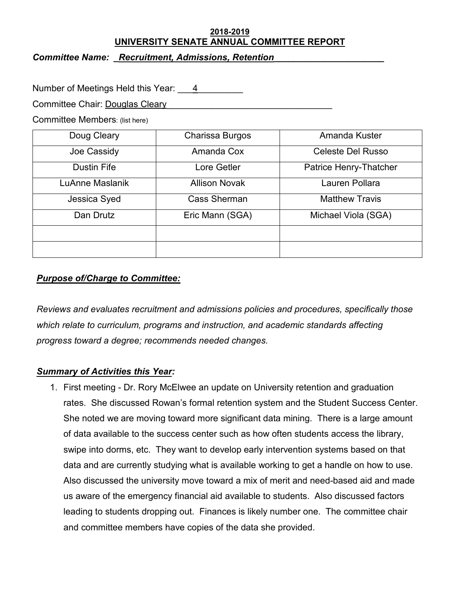#### **2018-2019 UNIVERSITY SENATE ANNUAL COMMITTEE REPORT**

*Committee Name: \_Recruitment, Admissions, Retention\_\_\_\_\_\_\_\_\_\_\_\_\_\_\_\_\_\_\_\_\_\_* 

Number of Meetings Held this Year: 4

Committee Chair: Douglas Cleary

Committee Members: (list here)

| Doug Cleary        | Charissa Burgos      | Amanda Kuster            |
|--------------------|----------------------|--------------------------|
| Joe Cassidy        | Amanda Cox           | <b>Celeste Del Russo</b> |
| <b>Dustin Fife</b> | Lore Getler          | Patrice Henry-Thatcher   |
| LuAnne Maslanik    | <b>Allison Novak</b> | Lauren Pollara           |
| Jessica Syed       | <b>Cass Sherman</b>  | <b>Matthew Travis</b>    |
| Dan Drutz          | Eric Mann (SGA)      | Michael Viola (SGA)      |
|                    |                      |                          |
|                    |                      |                          |

# *Purpose of/Charge to Committee:*

*Reviews and evaluates recruitment and admissions policies and procedures, specifically those which relate to curriculum, programs and instruction, and academic standards affecting progress toward a degree; recommends needed changes.*

# *Summary of Activities this Year:*

1. First meeting - Dr. Rory McElwee an update on University retention and graduation rates. She discussed Rowan's formal retention system and the Student Success Center. She noted we are moving toward more significant data mining. There is a large amount of data available to the success center such as how often students access the library, swipe into dorms, etc. They want to develop early intervention systems based on that data and are currently studying what is available working to get a handle on how to use. Also discussed the university move toward a mix of merit and need-based aid and made us aware of the emergency financial aid available to students. Also discussed factors leading to students dropping out. Finances is likely number one. The committee chair and committee members have copies of the data she provided.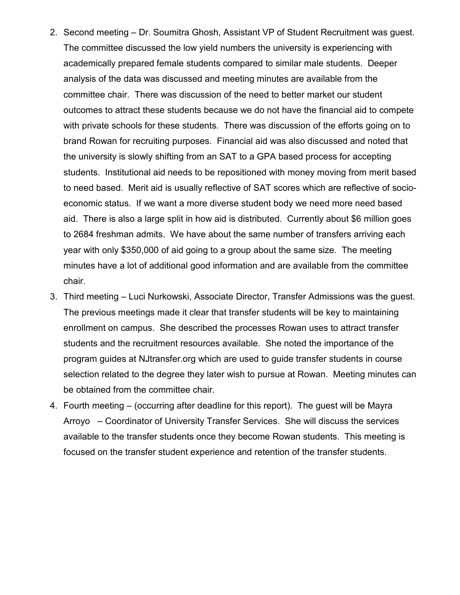- 2. Second meeting Dr. Soumitra Ghosh, Assistant VP of Student Recruitment was guest. The committee discussed the low yield numbers the university is experiencing with academically prepared female students compared to similar male students. Deeper analysis of the data was discussed and meeting minutes are available from the committee chair. There was discussion of the need to better market our student outcomes to attract these students because we do not have the financial aid to compete with private schools for these students. There was discussion of the efforts going on to brand Rowan for recruiting purposes. Financial aid was also discussed and noted that the university is slowly shifting from an SAT to a GPA based process for accepting students. Institutional aid needs to be repositioned with money moving from merit based to need based. Merit aid is usually reflective of SAT scores which are reflective of socioeconomic status. If we want a more diverse student body we need more need based aid. There is also a large split in how aid is distributed. Currently about \$6 million goes to 2684 freshman admits. We have about the same number of transfers arriving each year with only \$350,000 of aid going to a group about the same size. The meeting minutes have a lot of additional good information and are available from the committee chair.
- 3. Third meeting Luci Nurkowski, Associate Director, Transfer Admissions was the guest. The previous meetings made it clear that transfer students will be key to maintaining enrollment on campus. She described the processes Rowan uses to attract transfer students and the recruitment resources available. She noted the importance of the program guides at NJtransfer.org which are used to guide transfer students in course selection related to the degree they later wish to pursue at Rowan. Meeting minutes can be obtained from the committee chair.
- 4. Fourth meeting (occurring after deadline for this report). The guest will be Mayra Arroyo – Coordinator of University Transfer Services. She will discuss the services available to the transfer students once they become Rowan students. This meeting is focused on the transfer student experience and retention of the transfer students.